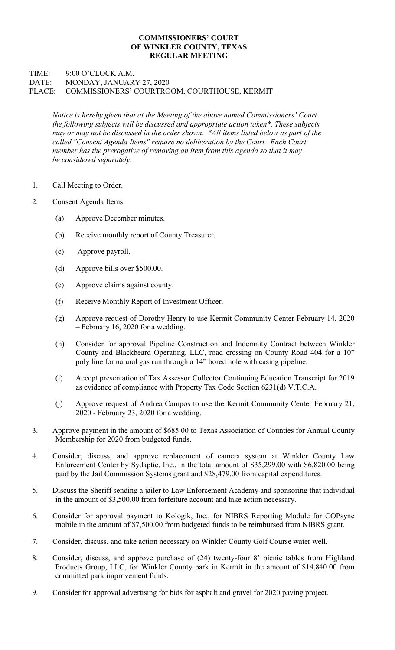## COMMISSIONERS' COURT OF WINKLER COUNTY, TEXAS REGULAR MEETING

## TIME: 9:00 O'CLOCK A.M. DATE: MONDAY, JANUARY 27, 2020 PLACE: COMMISSIONERS' COURTROOM, COURTHOUSE, KERMIT

Notice is hereby given that at the Meeting of the above named Commissioners' Court the following subjects will be discussed and appropriate action taken\*. These subjects may or may not be discussed in the order shown. \*All items listed below as part of the called "Consent Agenda Items" require no deliberation by the Court. Each Court member has the prerogative of removing an item from this agenda so that it may be considered separately.

- 1. Call Meeting to Order.
- 2. Consent Agenda Items:
	- (a) Approve December minutes.
	- (b) Receive monthly report of County Treasurer.
	- (c) Approve payroll.
	- (d) Approve bills over \$500.00.
	- (e) Approve claims against county.
	- (f) Receive Monthly Report of Investment Officer.
	- (g) Approve request of Dorothy Henry to use Kermit Community Center February 14, 2020 – February 16, 2020 for a wedding.
	- (h) Consider for approval Pipeline Construction and Indemnity Contract between Winkler County and Blackbeard Operating, LLC, road crossing on County Road 404 for a 10" poly line for natural gas run through a 14" bored hole with casing pipeline.
	- (i) Accept presentation of Tax Assessor Collector Continuing Education Transcript for 2019 as evidence of compliance with Property Tax Code Section 6231(d) V.T.C.A.
	- (j) Approve request of Andrea Campos to use the Kermit Community Center February 21, 2020 - February 23, 2020 for a wedding.
- 3. Approve payment in the amount of \$685.00 to Texas Association of Counties for Annual County Membership for 2020 from budgeted funds.
- 4. Consider, discuss, and approve replacement of camera system at Winkler County Law Enforcement Center by Sydaptic, Inc., in the total amount of \$35,299.00 with \$6,820.00 being paid by the Jail Commission Systems grant and \$28,479.00 from capital expenditures.
- 5. Discuss the Sheriff sending a jailer to Law Enforcement Academy and sponsoring that individual in the amount of \$3,500.00 from forfeiture account and take action necessary.
- 6. Consider for approval payment to Kologik, Inc., for NIBRS Reporting Module for COPsync mobile in the amount of \$7,500.00 from budgeted funds to be reimbursed from NIBRS grant.
- 7. Consider, discuss, and take action necessary on Winkler County Golf Course water well.
- 8. Consider, discuss, and approve purchase of (24) twenty-four 8' picnic tables from Highland Products Group, LLC, for Winkler County park in Kermit in the amount of \$14,840.00 from committed park improvement funds.
- 9. Consider for approval advertising for bids for asphalt and gravel for 2020 paving project.